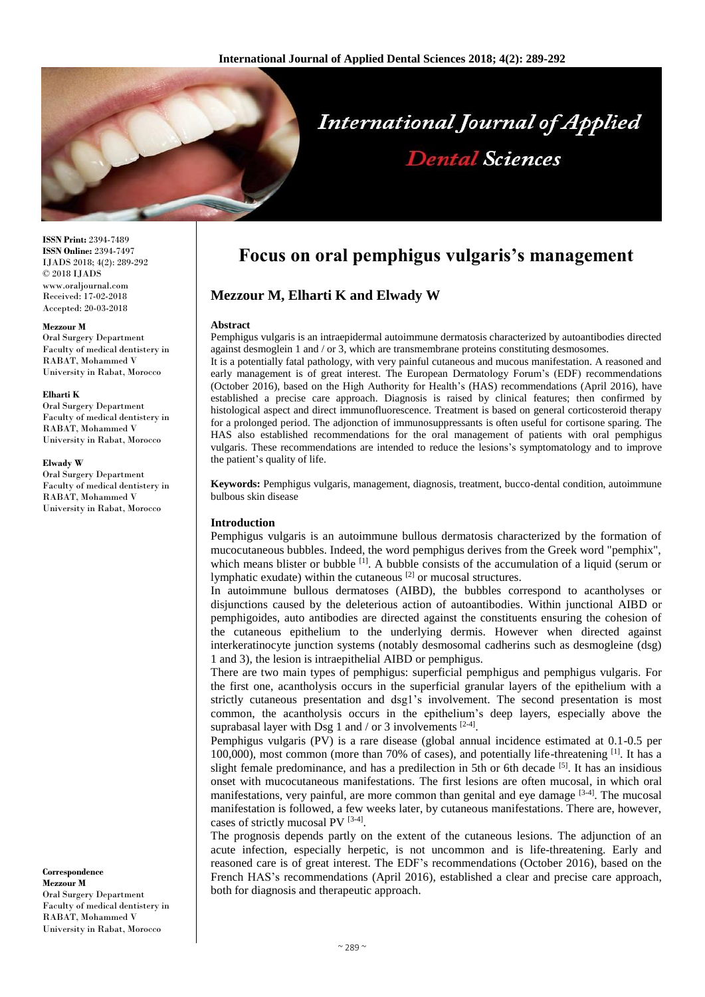

**ISSN Print:** 2394-7489 **ISSN Online:** 2394-7497 IJADS 2018; 4(2): 289-292 © 2018 IJADS www.oraljournal.com Received: 17-02-2018 Accepted: 20-03-2018

#### **Mezzour M**

Oral Surgery Department Faculty of medical dentistery in RABAT, Mohammed V University in Rabat, Morocco

#### **Elharti K**

Oral Surgery Department Faculty of medical dentistery in RABAT, Mohammed V University in Rabat, Morocco

#### **Elwady W**

Oral Surgery Department Faculty of medical dentistery in RABAT, Mohammed V University in Rabat, Morocco

**Correspondence Mezzour M** Oral Surgery Department Faculty of medical dentistery in RABAT, Mohammed V University in Rabat, Morocco

# **Focus on oral pemphigus vulgaris's management**

# **Mezzour M, Elharti K and Elwady W**

#### **Abstract**

Pemphigus vulgaris is an intraepidermal autoimmune dermatosis characterized by autoantibodies directed against desmoglein 1 and / or 3, which are transmembrane proteins constituting desmosomes.

It is a potentially fatal pathology, with very painful cutaneous and mucous manifestation. A reasoned and early management is of great interest. The European Dermatology Forum's (EDF) recommendations (October 2016), based on the High Authority for Health's (HAS) recommendations (April 2016), have established a precise care approach. Diagnosis is raised by clinical features; then confirmed by histological aspect and direct immunofluorescence. Treatment is based on general corticosteroid therapy for a prolonged period. The adjonction of immunosuppressants is often useful for cortisone sparing. The HAS also established recommendations for the oral management of patients with oral pemphigus vulgaris. These recommendations are intended to reduce the lesions's symptomatology and to improve the patient's quality of life.

**Keywords:** Pemphigus vulgaris, management, diagnosis, treatment, bucco-dental condition, autoimmune bulbous skin disease

#### **Introduction**

Pemphigus vulgaris is an autoimmune bullous dermatosis characterized by the formation of mucocutaneous bubbles. Indeed, the word pemphigus derives from the Greek word "pemphix", which means blister or bubble <sup>[1]</sup>. A bubble consists of the accumulation of a liquid (serum or lymphatic exudate) within the cutaneous [2] or mucosal structures.

In autoimmune bullous dermatoses (AIBD), the bubbles correspond to acantholyses or disjunctions caused by the deleterious action of autoantibodies. Within junctional AIBD or pemphigoides, auto antibodies are directed against the constituents ensuring the cohesion of the cutaneous epithelium to the underlying dermis. However when directed against interkeratinocyte junction systems (notably desmosomal cadherins such as desmogleine (dsg) 1 and 3), the lesion is intraepithelial AIBD or pemphigus.

There are two main types of pemphigus: superficial pemphigus and pemphigus vulgaris. For the first one, acantholysis occurs in the superficial granular layers of the epithelium with a strictly cutaneous presentation and dsg1's involvement. The second presentation is most common, the acantholysis occurs in the epithelium's deep layers, especially above the suprabasal layer with Dsg 1 and / or 3 involvements  $[2-4]$ .

Pemphigus vulgaris (PV) is a rare disease (global annual incidence estimated at 0.1-0.5 per 100,000), most common (more than 70% of cases), and potentially life-threatening [1]. It has a slight female predominance, and has a predilection in 5th or 6th decade <sup>[5]</sup>. It has an insidious onset with mucocutaneous manifestations. The first lesions are often mucosal, in which oral manifestations, very painful, are more common than genital and eye damage  $[3-4]$ . The mucosal manifestation is followed, a few weeks later, by cutaneous manifestations. There are, however, cases of strictly mucosal PV [3-4].

The prognosis depends partly on the extent of the cutaneous lesions. The adjunction of an acute infection, especially herpetic, is not uncommon and is life-threatening. Early and reasoned care is of great interest. The EDF's recommendations (October 2016), based on the French HAS's recommendations (April 2016), established a clear and precise care approach, both for diagnosis and therapeutic approach.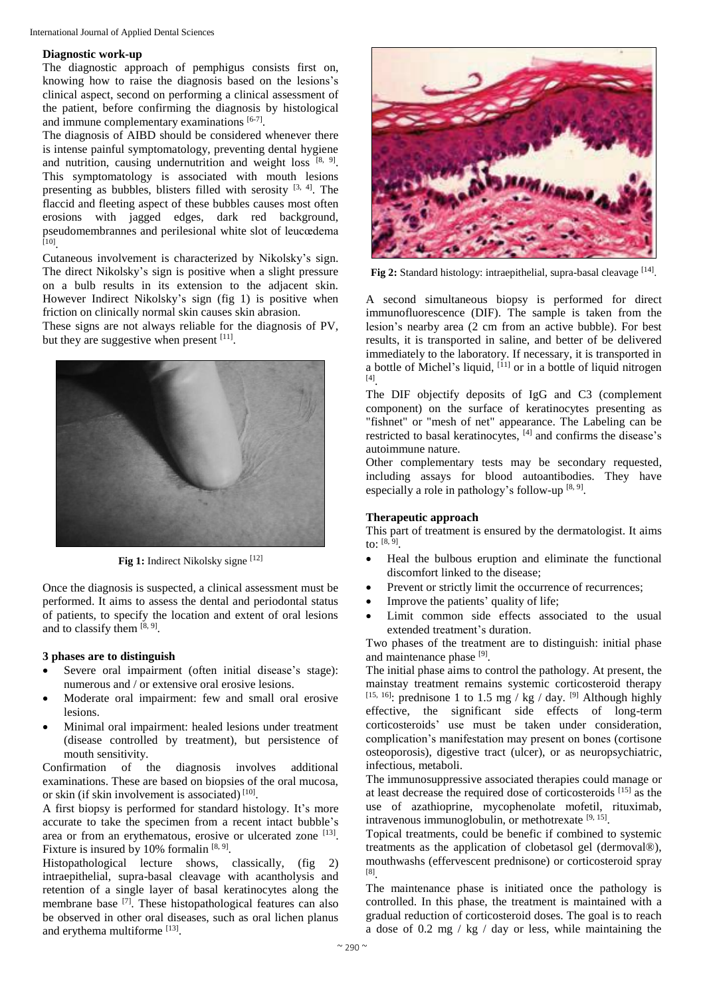#### **Diagnostic work-up**

The diagnostic approach of pemphigus consists first on, knowing how to raise the diagnosis based on the lesions's clinical aspect, second on performing a clinical assessment of the patient, before confirming the diagnosis by histological and immune complementary examinations [6-7].

The diagnosis of AIBD should be considered whenever there is intense painful symptomatology, preventing dental hygiene and nutrition, causing undernutrition and weight loss [8, 9]. This symptomatology is associated with mouth lesions presenting as bubbles, blisters filled with serosity <sup>[3, 4]</sup>. The flaccid and fleeting aspect of these bubbles causes most often erosions with jagged edges, dark red background, pseudomembrannes and perilesional white slot of leucœdema [10] .

Cutaneous involvement is characterized by Nikolsky's sign. The direct Nikolsky's sign is positive when a slight pressure on a bulb results in its extension to the adjacent skin. However Indirect Nikolsky's sign (fig 1) is positive when friction on clinically normal skin causes skin abrasion.

These signs are not always reliable for the diagnosis of PV, but they are suggestive when present  $[11]$ .



**Fig 1:** Indirect Nikolsky signe [12]

Once the diagnosis is suspected, a clinical assessment must be performed. It aims to assess the dental and periodontal status of patients, to specify the location and extent of oral lesions and to classify them  $[8, 9]$ .

## **3 phases are to distinguish**

- Severe oral impairment (often initial disease's stage): numerous and / or extensive oral erosive lesions.
- Moderate oral impairment: few and small oral erosive lesions.
- Minimal oral impairment: healed lesions under treatment (disease controlled by treatment), but persistence of mouth sensitivity.

Confirmation of the diagnosis involves additional examinations. These are based on biopsies of the oral mucosa, or skin (if skin involvement is associated)<sup>[10]</sup>.

A first biopsy is performed for standard histology. It's more accurate to take the specimen from a recent intact bubble's area or from an erythematous, erosive or ulcerated zone [13]. Fixture is insured by 10% formalin  $[8, 9]$ .

Histopathological lecture shows, classically, (fig 2) intraepithelial, supra-basal cleavage with acantholysis and retention of a single layer of basal keratinocytes along the membrane base <sup>[7]</sup>. These histopathological features can also be observed in other oral diseases, such as oral lichen planus and erythema multiforme<sup>[13]</sup>.



Fig 2: Standard histology: intraepithelial, supra-basal cleavage [14].

A second simultaneous biopsy is performed for direct immunofluorescence (DIF). The sample is taken from the lesion's nearby area (2 cm from an active bubble). For best results, it is transported in saline, and better of be delivered immediately to the laboratory. If necessary, it is transported in a bottle of Michel's liquid, [11] or in a bottle of liquid nitrogen [4] .

The DIF objectify deposits of IgG and C3 (complement component) on the surface of keratinocytes presenting as "fishnet" or "mesh of net" appearance. The Labeling can be restricted to basal keratinocytes, [4] and confirms the disease's autoimmune nature.

Other complementary tests may be secondary requested, including assays for blood autoantibodies. They have especially a role in pathology's follow-up  $[8, 9]$ .

## **Therapeutic approach**

This part of treatment is ensured by the dermatologist. It aims to: [8, 9] .

- Heal the bulbous eruption and eliminate the functional discomfort linked to the disease;
- Prevent or strictly limit the occurrence of recurrences;
- Improve the patients' quality of life;
- Limit common side effects associated to the usual extended treatment's duration.

Two phases of the treatment are to distinguish: initial phase and maintenance phase [9].

The initial phase aims to control the pathology. At present, the mainstay treatment remains systemic corticosteroid therapy <sup>[15, 16]</sup>: prednisone 1 to 1.5 mg / kg / day. <sup>[9]</sup> Although highly effective, the significant side effects of long-term corticosteroids' use must be taken under consideration, complication's manifestation may present on bones (cortisone osteoporosis), digestive tract (ulcer), or as neuropsychiatric, infectious, metaboli.

The immunosuppressive associated therapies could manage or at least decrease the required dose of corticosteroids [15] as the use of azathioprine, mycophenolate mofetil, rituximab, intravenous immunoglobulin, or methotrexate [9, 15].

Topical treatments, could be benefic if combined to systemic treatments as the application of clobetasol gel (dermoval®), mouthwashs (effervescent prednisone) or corticosteroid spray [8] .

The maintenance phase is initiated once the pathology is controlled. In this phase, the treatment is maintained with a gradual reduction of corticosteroid doses. The goal is to reach a dose of 0.2 mg / kg / day or less, while maintaining the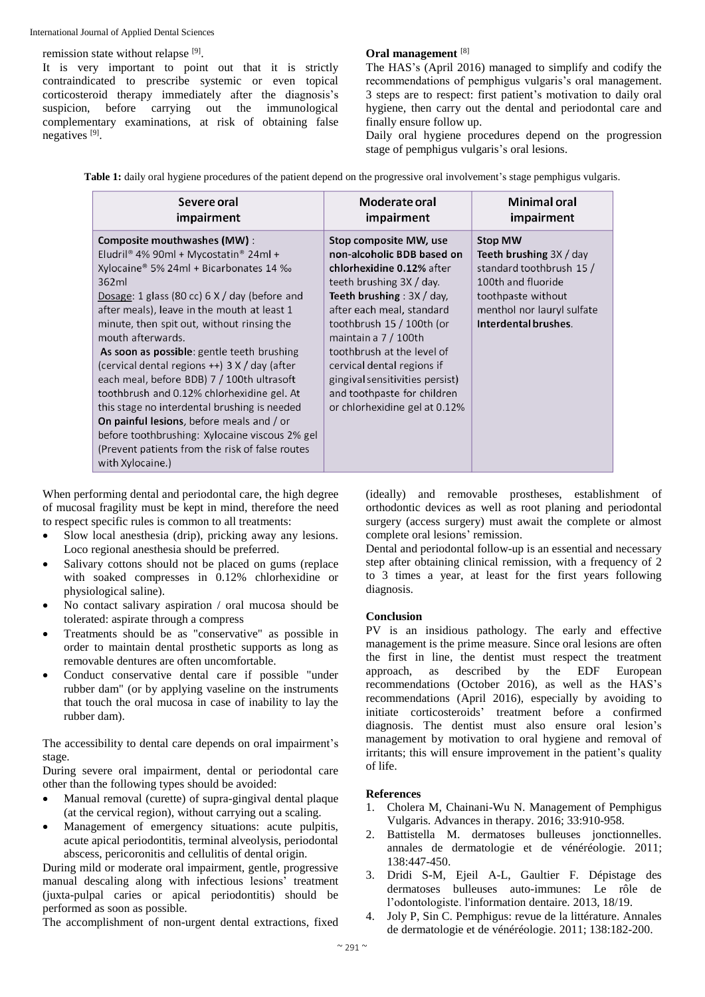remission state without relapse [9].

It is very important to point out that it is strictly contraindicated to prescribe systemic or even topical corticosteroid therapy immediately after the diagnosis's suspicion, before carrying out the immunological complementary examinations, at risk of obtaining false negatives<sup>[9]</sup>.

## **Oral management** [8]

The HAS's (April 2016) managed to simplify and codify the recommendations of pemphigus vulgaris's oral management. 3 steps are to respect: first patient's motivation to daily oral hygiene, then carry out the dental and periodontal care and finally ensure follow up.

Daily oral hygiene procedures depend on the progression stage of pemphigus vulgaris's oral lesions.

**Table 1:** daily oral hygiene procedures of the patient depend on the progressive oral involvement's stage pemphigus vulgaris.

| Severe oral                                                                                                                                                                                                                                                                                                                                                                                                                                                                                                                                                                                                                                                                                                                | Moderate oral                                                                                                                                                                                                                                                                                                                                                                                             | <b>Minimal oral</b>                                                                                                                                                               |
|----------------------------------------------------------------------------------------------------------------------------------------------------------------------------------------------------------------------------------------------------------------------------------------------------------------------------------------------------------------------------------------------------------------------------------------------------------------------------------------------------------------------------------------------------------------------------------------------------------------------------------------------------------------------------------------------------------------------------|-----------------------------------------------------------------------------------------------------------------------------------------------------------------------------------------------------------------------------------------------------------------------------------------------------------------------------------------------------------------------------------------------------------|-----------------------------------------------------------------------------------------------------------------------------------------------------------------------------------|
| impairment                                                                                                                                                                                                                                                                                                                                                                                                                                                                                                                                                                                                                                                                                                                 | impairment                                                                                                                                                                                                                                                                                                                                                                                                | impairment                                                                                                                                                                        |
| <b>Composite mouthwashes (MW):</b><br>Eludril® 4% 90ml + Mycostatin® 24ml +<br>Xylocaine® 5% 24ml + Bicarbonates 14 ‰<br>362ml<br>Dosage: 1 glass (80 cc) $6 \times /$ day (before and<br>after meals), leave in the mouth at least 1<br>minute, then spit out, without rinsing the<br>mouth afterwards.<br>As soon as possible: gentle teeth brushing<br>(cervical dental regions ++) 3 X / day (after<br>each meal, before BDB) 7 / 100th ultrasoft<br>toothbrush and 0.12% chlorhexidine gel. At<br>this stage no interdental brushing is needed<br>On painful lesions, before meals and / or<br>before toothbrushing: Xylocaine viscous 2% gel<br>(Prevent patients from the risk of false routes)<br>with Xylocaine.) | Stop composite MW, use<br>non-alcoholic BDB based on<br>chlorhexidine 0.12% after<br>teeth brushing $3X / day$ .<br><b>Teeth brushing</b> : $3X / day$ ,<br>after each meal, standard<br>toothbrush 15 / 100th (or<br>maintain a 7 / 100th<br>toothbrush at the level of<br>cervical dental regions if<br>gingival sensitivities persist)<br>and toothpaste for children<br>or chlorhexidine gel at 0.12% | <b>Stop MW</b><br><b>Teeth brushing </b> $3X / day$<br>standard toothbrush 15 /<br>100th and fluoride<br>toothpaste without<br>menthol nor lauryl sulfate<br>Interdental brushes. |

When performing dental and periodontal care, the high degree of mucosal fragility must be kept in mind, therefore the need to respect specific rules is common to all treatments:

- Slow local anesthesia (drip), pricking away any lesions. Loco regional anesthesia should be preferred.
- Salivary cottons should not be placed on gums (replace with soaked compresses in 0.12% chlorhexidine or physiological saline).
- No contact salivary aspiration / oral mucosa should be tolerated: aspirate through a compress
- Treatments should be as "conservative" as possible in order to maintain dental prosthetic supports as long as removable dentures are often uncomfortable.
- Conduct conservative dental care if possible "under rubber dam" (or by applying vaseline on the instruments that touch the oral mucosa in case of inability to lay the rubber dam).

The accessibility to dental care depends on oral impairment's stage.

During severe oral impairment, dental or periodontal care other than the following types should be avoided:

- Manual removal (curette) of supra-gingival dental plaque (at the cervical region), without carrying out a scaling.
- Management of emergency situations: acute pulpitis, acute apical periodontitis, terminal alveolysis, periodontal abscess, pericoronitis and cellulitis of dental origin.

During mild or moderate oral impairment, gentle, progressive manual descaling along with infectious lesions' treatment (juxta-pulpal caries or apical periodontitis) should be performed as soon as possible.

The accomplishment of non-urgent dental extractions, fixed

(ideally) and removable prostheses, establishment of orthodontic devices as well as root planing and periodontal surgery (access surgery) must await the complete or almost complete oral lesions' remission.

Dental and periodontal follow-up is an essential and necessary step after obtaining clinical remission, with a frequency of 2 to 3 times a year, at least for the first years following diagnosis.

## **Conclusion**

PV is an insidious pathology. The early and effective management is the prime measure. Since oral lesions are often the first in line, the dentist must respect the treatment approach, as described by the EDF European recommendations (October 2016), as well as the HAS's recommendations (April 2016), especially by avoiding to initiate corticosteroids' treatment before a confirmed diagnosis. The dentist must also ensure oral lesion's management by motivation to oral hygiene and removal of irritants; this will ensure improvement in the patient's quality of life.

## **References**

- 1. Cholera M, Chainani-Wu N. Management of Pemphigus Vulgaris. Advances in therapy. 2016; 33:910-958.
- 2. Battistella M. dermatoses bulleuses jonctionnelles. annales de dermatologie et de vénéréologie. 2011; 138:447-450.
- 3. Dridi S-M, Ejeil A-L, Gaultier F. Dépistage des dermatoses bulleuses auto-immunes: Le rôle de l'odontologiste. l'information dentaire. 2013, 18/19.
- 4. Joly P, Sin C. Pemphigus: revue de la littérature. Annales de dermatologie et de vénéréologie. 2011; 138:182-200.